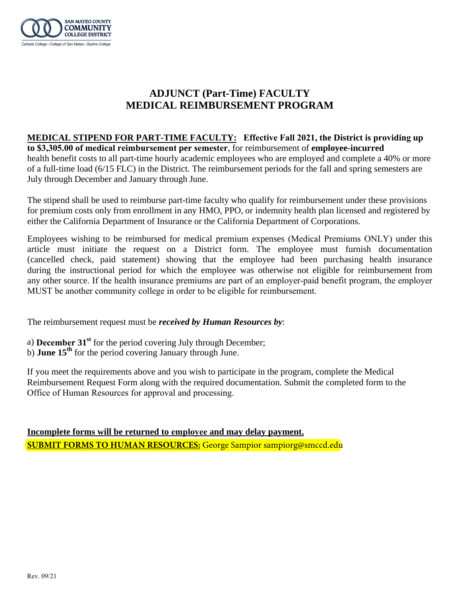

## **ADJUNCT (Part-Time) FACULTY MEDICAL REIMBURSEMENT PROGRAM**

## **MEDICAL STIPEND FOR PART-TIME FACULTY: Effective Fall 2021, the District is providing up**

**to \$3,305.00 of medical reimbursement per semester**, for reimbursement of **employee-incurred** health benefit costs to all part-time hourly academic employees who are employed and complete a 40% or more of a full-time load (6/15 FLC) in the District. The reimbursement periods for the fall and spring semesters are July through December and January through June.

The stipend shall be used to reimburse part-time faculty who qualify for reimbursement under these provisions for premium costs only from enrollment in any HMO, PPO, or indemnity health plan licensed and registered by either the California Department of Insurance or the California Department of Corporations.

Employees wishing to be reimbursed for medical premium expenses (Medical Premiums ONLY) under this article must initiate the request on a District form. The employee must furnish documentation (cancelled check, paid statement) showing that the employee had been purchasing health insurance during the instructional period for which the employee was otherwise not eligible for reimbursement from any other source. If the health insurance premiums are part of an employer-paid benefit program, the employer MUST be another community college in order to be eligible for reimbursement.

The reimbursement request must be *received by Human Resources by*:

- a) **December 31st** for the period covering July through December;
- b) **June 15th** for the period covering January through June.

If you meet the requirements above and you wish to participate in the program, complete the Medical Reimbursement Request Form along with the required documentation. Submit the completed form to the Office of Human Resources for approval and processing.

**Incomplete forms will be returned to employee and may delay payment. SUBMIT FORMS TO HUMAN RESOURCES:** George Sampior sampiorg@smccd.edu